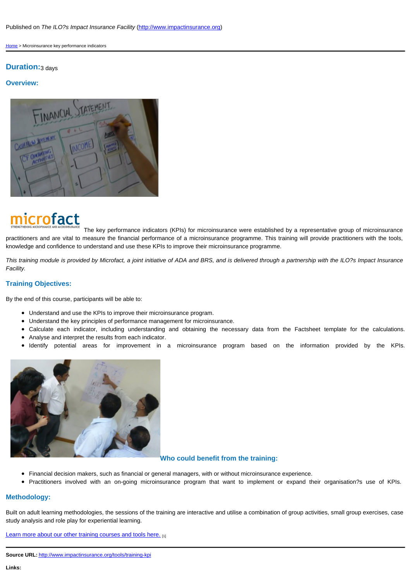The key performance indicators (KPIs) for microinsurance were established by a [pract](http://www.impactinsurance.org/)itioners and are vital to measure the financial performance of a microinsurance programme. This training knowledge and confidence to understand and use these KPIs to improve their microinsurance programme.

This training module is provided by Microfact, a joint initiative of ADA and BRS, and is delivered through a partr Facility.

## Training Objectives:

By the end of this course, participants will be able to:

- Understand and use the KPIs to improve their microinsurance program.
- Understand the key principles of performance management for microinsurance.
- Calculate each indicator, including understanding and obtaining the necessary data from the F
- Analyse and interpret the results from each indicator.
- $\bullet$  Identify potential areas for improvement in a microinsurance program based on the

## Who could benefit from the training:

- Financial decision makers, such as financial or general managers, with or without microinsurance experience.
- Practitioners involved with an on-going microinsurance program that want to implement or expa

## Methodology:

Built on adult learning methodologies, the sessions of the training are interactive and utilise a combination of grou study analysis and role play for experiential learning.

Learn more about our other training courses and tools here. [1]

Source URL: http://www.impactinsurance.org/tools/training-kpi